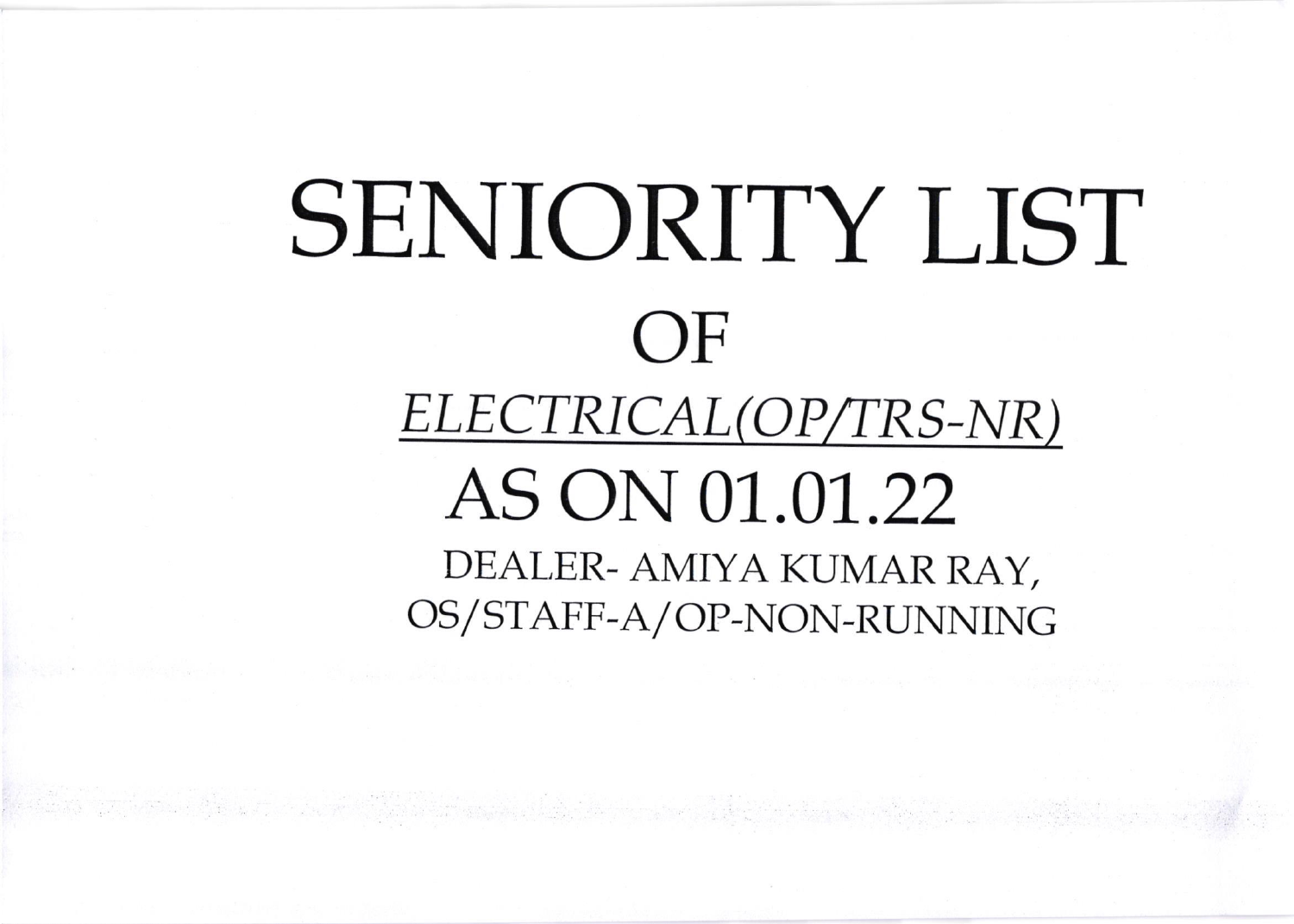# SENIORITY LIST  $OF$ ELECTRICAL(OP/TRS-NR) AS ON 01.01.22 DEALER- AMIYA KUMAR RAY, OS/STAFF-A/OP-NON-RUNNING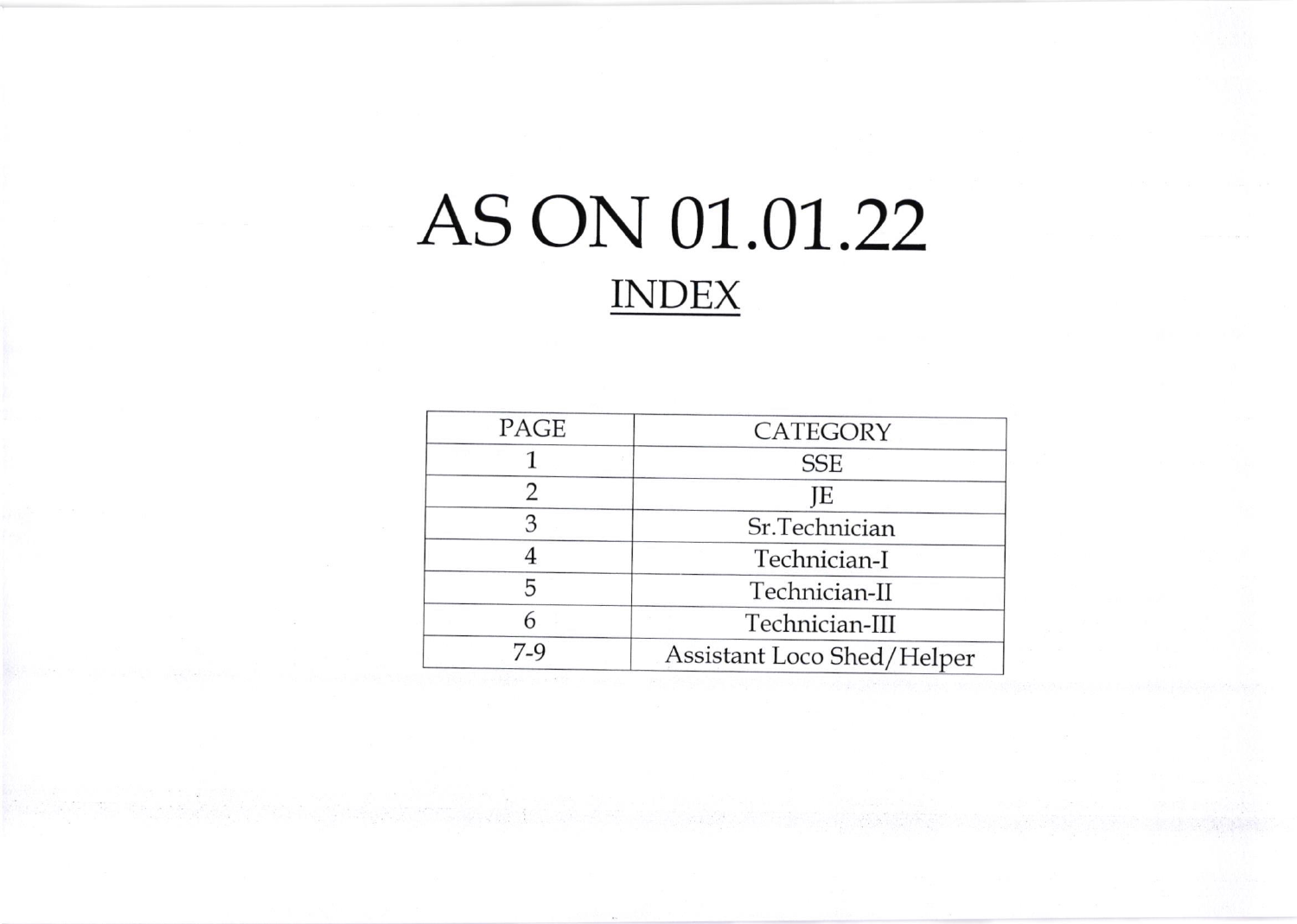## AS ON 01.01 .22 INDEX

| CATEGORY                   |
|----------------------------|
| <b>SSE</b>                 |
| JE                         |
| Sr.Technician              |
| Technician-I               |
| Technician-II              |
| Technician-III             |
| Assistant Loco Shed/Helper |
|                            |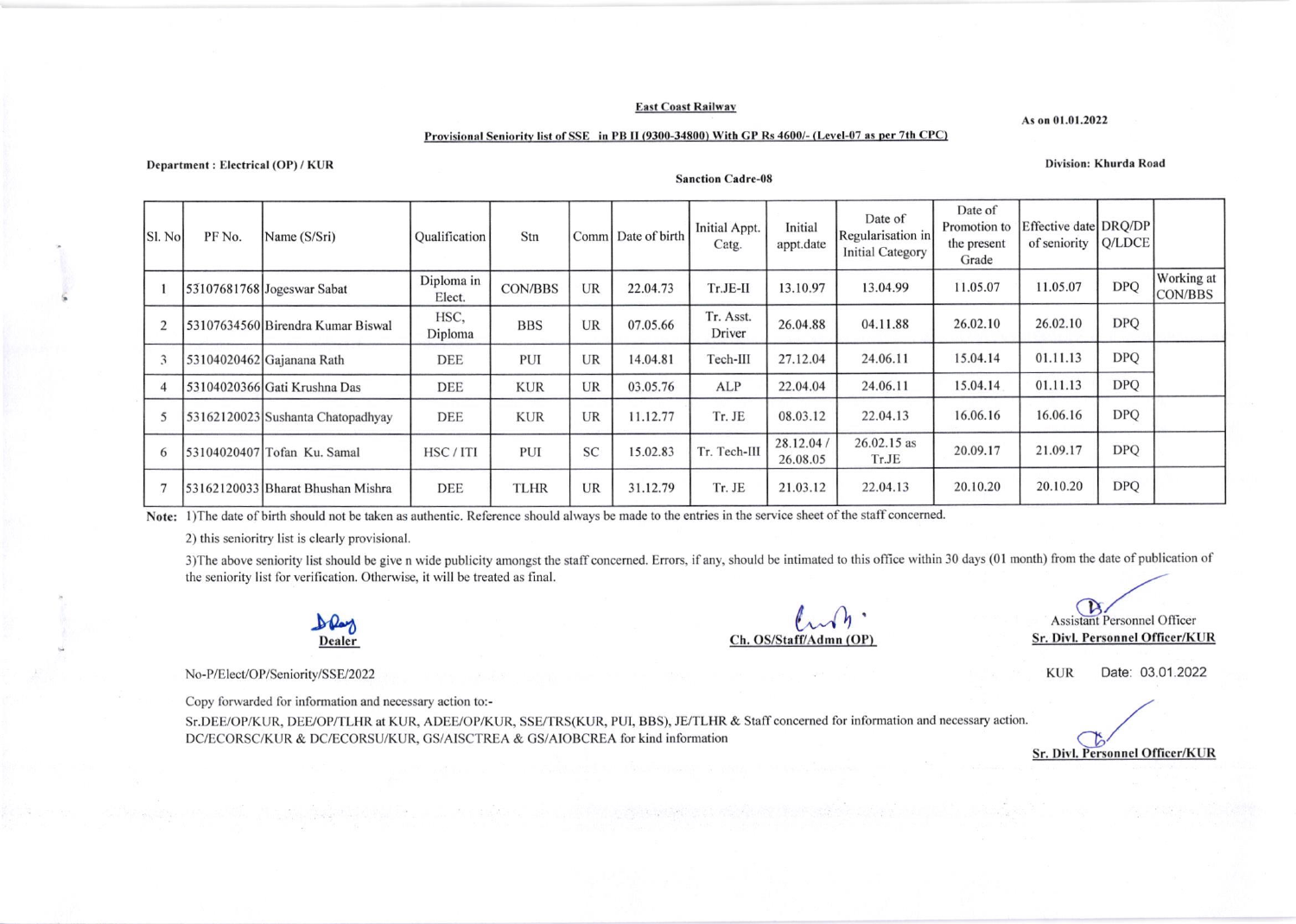#### **East Coast Railway**

As on 01.01.2022

Division: Khurda Road

#### Provisional Seniority list of SSE in PB II (9300-34800) With GP Rs 4600/- (Level-07 as per 7th CPC)

Department: Electrical (OP) / KUR

#### **Sanction Cadre-08**

| Sl. No | PF No. | Name (S/Sri)                      | <b>Qualification</b> | Stn            |           | Comm Date of birth | Initial Appt.<br>Catg. | Initial<br>appt.date   | Date of<br>Regularisation in<br><b>Initial Category</b> | Date of<br>Promotion to<br>the present<br>Grade | Effective date DRQ/DP<br>of seniority   Q/LDCE |            |                              |
|--------|--------|-----------------------------------|----------------------|----------------|-----------|--------------------|------------------------|------------------------|---------------------------------------------------------|-------------------------------------------------|------------------------------------------------|------------|------------------------------|
|        |        | 53107681768 Jogeswar Sabat        | Diploma in<br>Elect. | <b>CON/BBS</b> | UR        | 22.04.73           | $Tr.JE-II$             | 13.10.97               | 13.04.99                                                | 11.05.07                                        | 11.05.07                                       | <b>DPQ</b> | Working at<br><b>CON/BBS</b> |
|        |        | 53107634560 Birendra Kumar Biswal | HSC,<br>Diploma      | <b>BBS</b>     | UR        | 07.05.66           | Tr. Asst.<br>Driver    | 26.04.88               | 04.11.88                                                | 26.02.10                                        | 26.02.10                                       | <b>DPQ</b> |                              |
|        |        | 53104020462 Gajanana Rath         | <b>DEE</b>           | <b>PUI</b>     | <b>UR</b> | 14.04.81           | Tech-III               | 27.12.04               | 24.06.11                                                | 15.04.14                                        | 01.11.13                                       | <b>DPQ</b> |                              |
|        |        | 53104020366 Gati Krushna Das      | <b>DEE</b>           | <b>KUR</b>     | <b>UR</b> | 03.05.76           | ALP                    | 22.04.04               | 24.06.11                                                | 15.04.14                                        | 01.11.13                                       | <b>DPO</b> |                              |
|        |        | 53162120023 Sushanta Chatopadhyay | <b>DEE</b>           | <b>KUR</b>     | UR        | 11.12.77           | Tr. JE                 | 08.03.12               | 22.04.13                                                | 16.06.16                                        | 16.06.16                                       | <b>DPQ</b> |                              |
|        |        | 53104020407 Tofan Ku. Samal       | HSC/ITI              | PUI            | <b>SC</b> | 15.02.83           | Tr. Tech-III           | 28.12.04 /<br>26.08.05 | 26.02.15 as<br>Tr.JE                                    | 20.09.17                                        | 21.09.17                                       | <b>DPQ</b> |                              |
|        |        | 53162120033 Bharat Bhushan Mishra | <b>DEE</b>           | <b>TLHR</b>    | UR        | 31.12.79           | Tr. JE                 | 21.03.12               | 22.04.13                                                | 20.10.20                                        | 20.10.20                                       | <b>DPQ</b> |                              |

Note: 1) The date of birth should not be taken as authentic. Reference should always be made to the entries in the service sheet of the staff concerned.

2) this senioritry list is clearly provisional.

3) The above seniority list should be give n wide publicity amongst the staff concerned. Errors, if any, should be intimated to this office within 30 days (01 month) from the date of publication of the seniority list for verification. Otherwise, it will be treated as final.



Ch. OS/Staff/Admn (OP)

B **Assistant Personnel Officer** Sr. Divl. Personnel Officer/KUR

**KUR** Date: 03.01.2022

Sr. Divl. Personnel Officer/KUR

No-P/Elect/OP/Seniority/SSE/2022

Copy forwarded for information and necessary action to:-

Sr.DEE/OP/KUR, DEE/OP/TLHR at KUR, ADEE/OP/KUR, SSE/TRS(KUR, PUI, BBS), JE/TLHR & Staff concerned for information and necessary action. DC/ECORSC/KUR & DC/ECORSU/KUR, GS/AISCTREA & GS/AIOBCREA for kind information